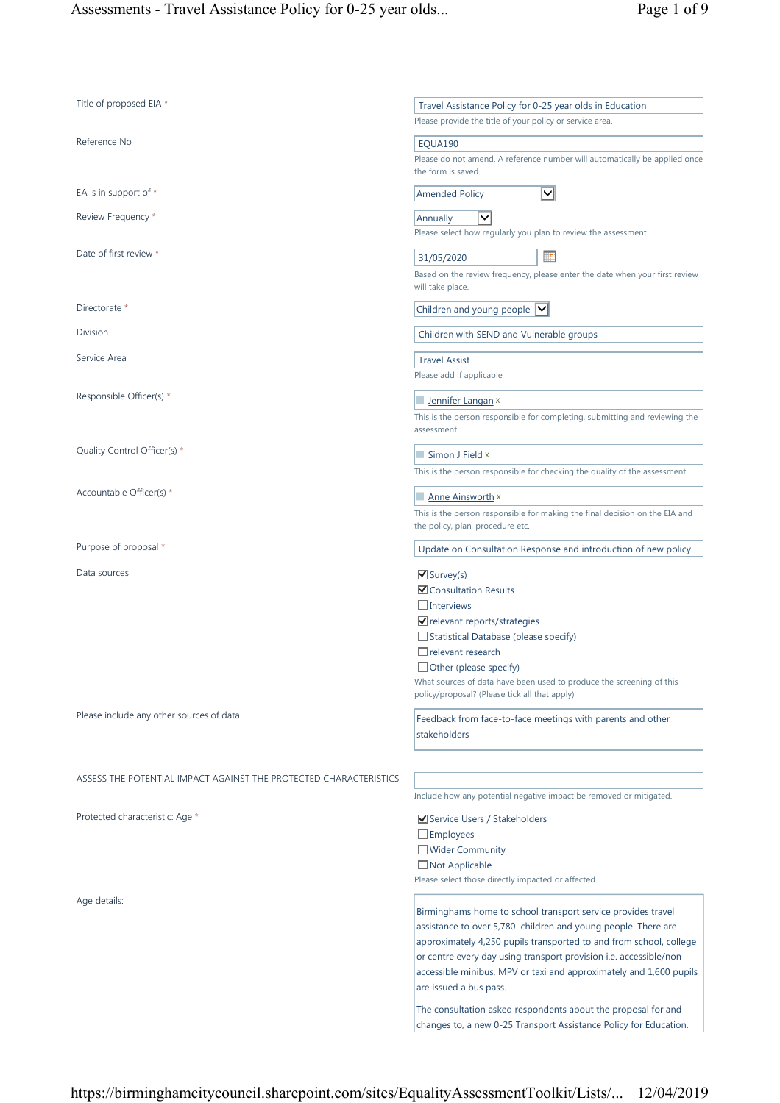| Title of proposed EIA *                                           | Travel Assistance Policy for 0-25 year olds in Education<br>Please provide the title of your policy or service area.                                                                                                                                                                                                                                                                                                                                                                                           |
|-------------------------------------------------------------------|----------------------------------------------------------------------------------------------------------------------------------------------------------------------------------------------------------------------------------------------------------------------------------------------------------------------------------------------------------------------------------------------------------------------------------------------------------------------------------------------------------------|
| Reference No                                                      | EQUA190<br>Please do not amend. A reference number will automatically be applied once<br>the form is saved.                                                                                                                                                                                                                                                                                                                                                                                                    |
| EA is in support of *                                             | $\checkmark$<br><b>Amended Policy</b>                                                                                                                                                                                                                                                                                                                                                                                                                                                                          |
| Review Frequency *                                                | $\checkmark$<br>Annually<br>Please select how regularly you plan to review the assessment.                                                                                                                                                                                                                                                                                                                                                                                                                     |
| Date of first review *                                            | Ħ₽<br>31/05/2020<br>Based on the review frequency, please enter the date when your first review<br>will take place.                                                                                                                                                                                                                                                                                                                                                                                            |
| Directorate *                                                     | Children and young people $ v $                                                                                                                                                                                                                                                                                                                                                                                                                                                                                |
| Division                                                          | Children with SEND and Vulnerable groups                                                                                                                                                                                                                                                                                                                                                                                                                                                                       |
| Service Area                                                      | <b>Travel Assist</b><br>Please add if applicable                                                                                                                                                                                                                                                                                                                                                                                                                                                               |
| Responsible Officer(s) *                                          | Jennifer Langan x<br>This is the person responsible for completing, submitting and reviewing the<br>assessment.                                                                                                                                                                                                                                                                                                                                                                                                |
| Quality Control Officer(s) *                                      | Simon J Field x<br>This is the person responsible for checking the quality of the assessment.                                                                                                                                                                                                                                                                                                                                                                                                                  |
| Accountable Officer(s) *                                          | <b>Anne Ainsworth ×</b><br>This is the person responsible for making the final decision on the EIA and<br>the policy, plan, procedure etc.                                                                                                                                                                                                                                                                                                                                                                     |
| Purpose of proposal *                                             | Update on Consultation Response and introduction of new policy                                                                                                                                                                                                                                                                                                                                                                                                                                                 |
| Data sources                                                      | $\triangledown$ Survey(s)<br><b>☑</b> Consultation Results<br>$\Box$ Interviews<br>√ relevant reports/strategies<br>$\Box$ Statistical Database (please specify)<br>$\Box$ relevant research<br>$\Box$ Other (please specify)<br>What sources of data have been used to produce the screening of this<br>policy/proposal? (Please tick all that apply)                                                                                                                                                         |
| Please include any other sources of data                          | Feedback from face-to-face meetings with parents and other<br>stakeholders                                                                                                                                                                                                                                                                                                                                                                                                                                     |
| ASSESS THE POTENTIAL IMPACT AGAINST THE PROTECTED CHARACTERISTICS | Include how any potential negative impact be removed or mitigated.                                                                                                                                                                                                                                                                                                                                                                                                                                             |
| Protected characteristic: Age *                                   | Service Users / Stakeholders<br>$\Box$ Employees<br>Wider Community<br>□ Not Applicable<br>Please select those directly impacted or affected.                                                                                                                                                                                                                                                                                                                                                                  |
| Age details:                                                      | Birminghams home to school transport service provides travel<br>assistance to over 5,780 children and young people. There are<br>approximately 4,250 pupils transported to and from school, college<br>or centre every day using transport provision i.e. accessible/non<br>accessible minibus, MPV or taxi and approximately and 1,600 pupils<br>are issued a bus pass.<br>The consultation asked respondents about the proposal for and<br>changes to, a new 0-25 Transport Assistance Policy for Education. |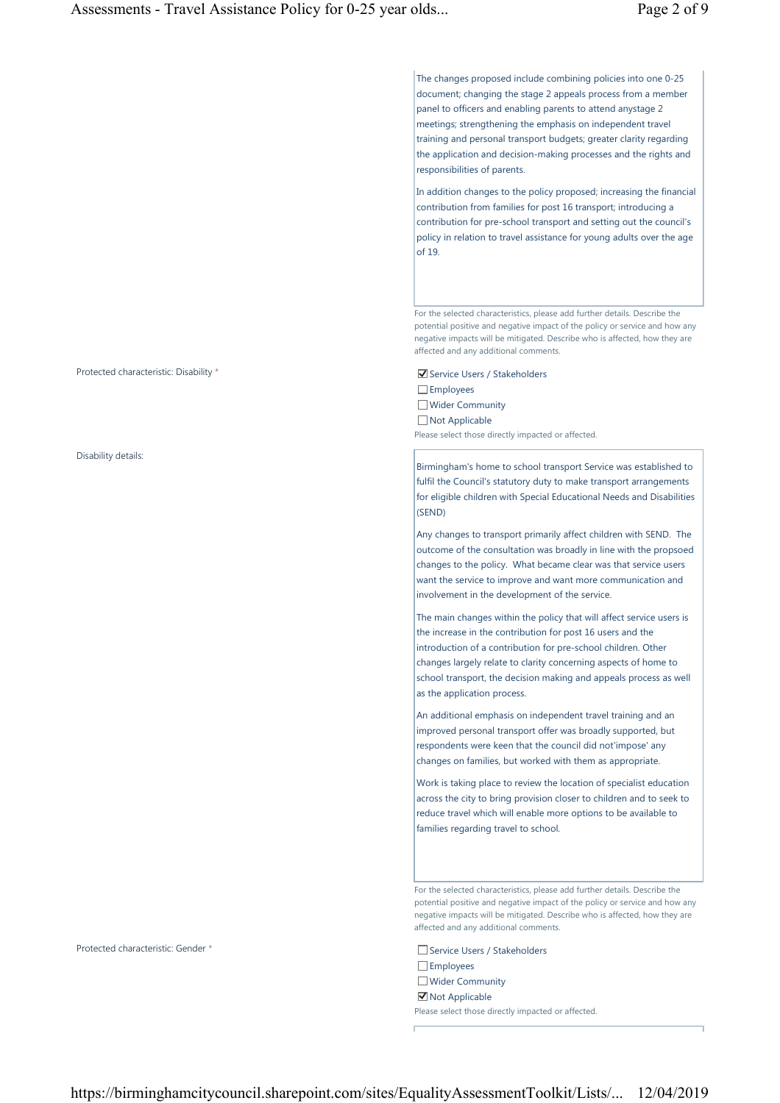The changes proposed include combining policies into one 0-25 document; changing the stage 2 appeals process from a member panel to officers and enabling parents to attend anystage 2 meetings; strengthening the emphasis on independent travel training and personal transport budgets; greater clarity regarding the application and decision-making processes and the rights and responsibilities of parents.

In addition changes to the policy proposed; increasing the financial contribution from families for post 16 transport; introducing a contribution for pre-school transport and setting out the council's policy in relation to travel assistance for young adults over the age of 19.

For the selected characteristics, please add further details. Describe the potential positive and negative impact of the policy or service and how any negative impacts will be mitigated. Describe who is affected, how they are affected and any additional comments.

Employees Wider Community □ Not Applicable Please select those directly impacted or affected.

Birmingham's home to school transport Service was established to fulfil the Council's statutory duty to make transport arrangements for eligible children with Special Educational Needs and Disabilities (SEND)

Any changes to transport primarily affect children with SEND. The outcome of the consultation was broadly in line with the propsoed changes to the policy. What became clear was that service users want the service to improve and want more communication and involvement in the development of the service.

The main changes within the policy that will affect service users is the increase in the contribution for post 16 users and the introduction of a contribution for pre-school children. Other changes largely relate to clarity concerning aspects of home to school transport, the decision making and appeals process as well as the application process.

An additional emphasis on independent travel training and an improved personal transport offer was broadly supported, but respondents were keen that the council did not'impose' any changes on families, but worked with them as appropriate.

Work is taking place to review the location of specialist education across the city to bring provision closer to children and to seek to reduce travel which will enable more options to be available to families regarding travel to school.

For the selected characteristics, please add further details. Describe the potential positive and negative impact of the policy or service and how any negative impacts will be mitigated. Describe who is affected, how they are affected and any additional comments.

□ Employees Wider Community **☑** Not Applicable Please select those directly impacted or affected.

Protected characteristic: Disability \*  $\blacksquare$  Service Users / Stakeholders

Disability details:

Protected characteristic: Gender \* Service Users / Stakeholders / Stakeholders / Stakeholders / Stakeholders / Stakeholders / Stakeholders / Stakeholders / Stakeholders / Stakeholders / Stakeholders / Stakeholders / Stakeh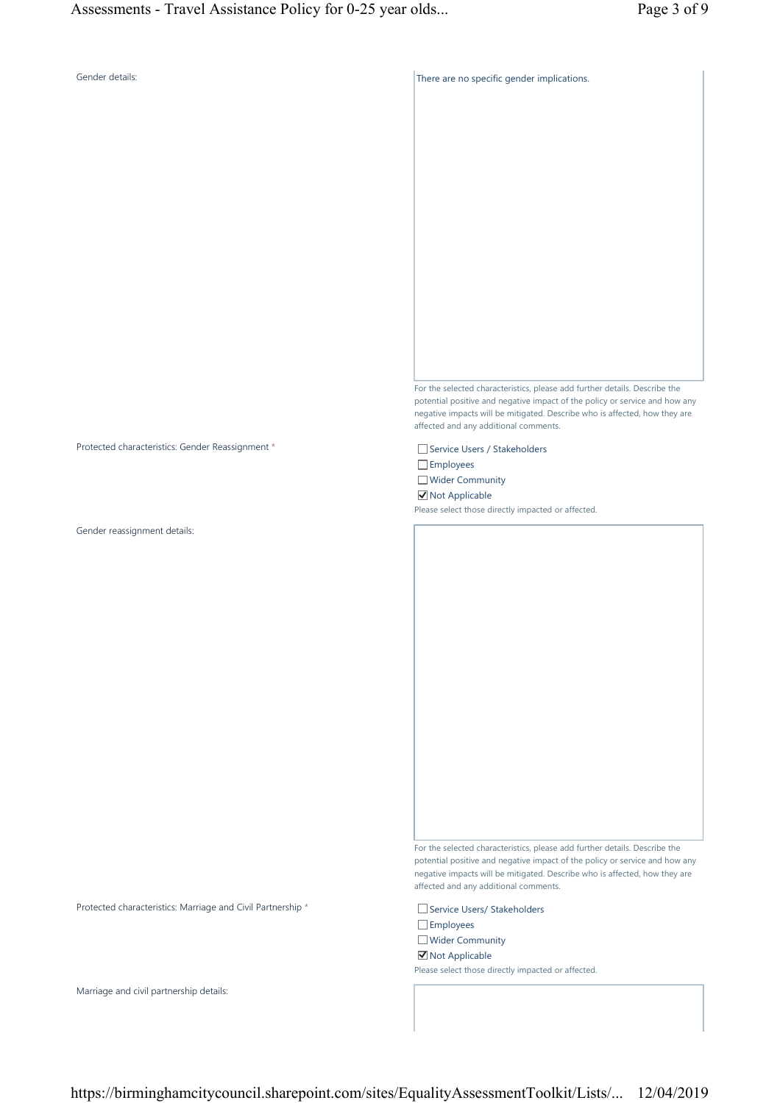## Gender details: Gender details: Sender details: There are no specific gender implications.

For the selected characteristics, please add further details. Describe the potential positive and negative impact of the policy or service and how any negative impacts will be mitigated. Describe who is affected, how they are affected and any additional comments.

Protected characteristics: Gender Reassignment \* Service Users / Stakeholders Employees Wider Community ■ Not Applicable Please select those directly impacted or affected.

Gender reassignment details:

For the selected characteristics, please add further details. Describe the potential positive and negative impact of the policy or service and how any negative impacts will be mitigated. Describe who is affected, how they are affected and any additional comments.

Protected characteristics: Marriage and Civil Partnership \* Service Users/ Stakeholders Employees Wider Community **☑** Not Applicable Please select those directly impacted or affected.

Marriage and civil partnership details: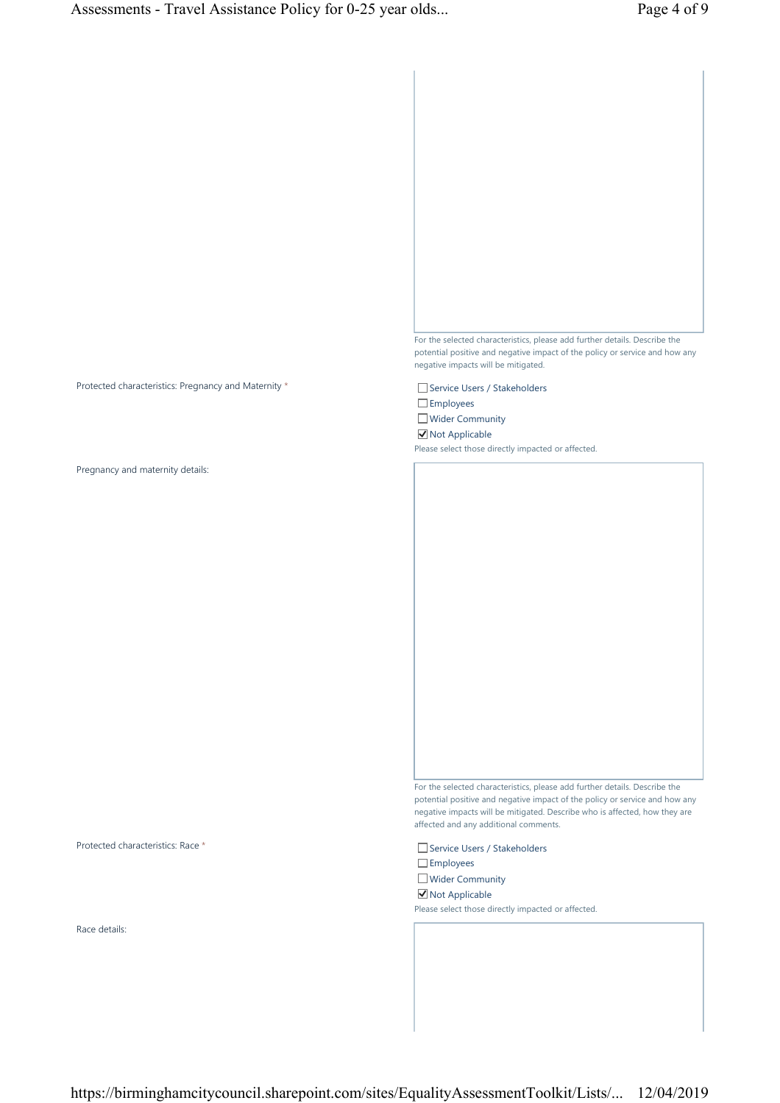

Employees Wider Community

**☑** Not Applicable Please select those directly impacted or affected.

For the selected characteristics, please add further details. Describe the potential positive and negative impact of the policy or service and how any

negative impacts will be mitigated. Describe who is affected, how they are affected and any additional comments.

Employees Wider Community **☑** Not Applicable Please select those directly impacted or affected.

Protected characteristics: Pregnancy and Maternity \* Service Users / Stakeholders

Pregnancy and maternity details:

Protected characteristics: Race \* Service Users / Stakeholders

Race details:

https://birminghamcitycouncil.sharepoint.com/sites/EqualityAssessmentToolkit/Lists/... 12/04/2019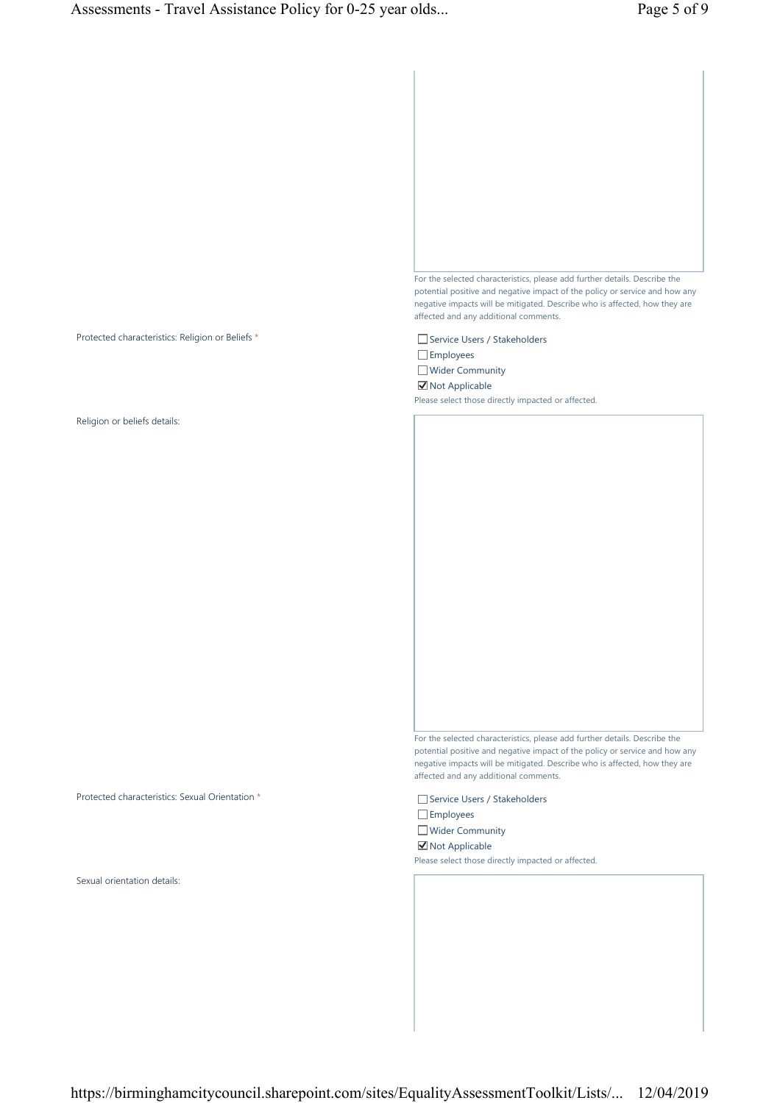

Protected characteristics: Religion or Beliefs \* Service Users / Stakeholders / Stakeholders

Religion or beliefs details:

Protected characteristics: Sexual Orientation \* Service Users / Stakeholders

Sexual orientation details:

potential positive and negative impact of the policy or service and how any negative impacts will be mitigated. Describe who is affected, how they are affected and any additional comments.

Employees

Wider Community

**☑** Not Applicable

Please select those directly impacted or affected.

For the selected characteristics, please add further details. Describe the potential positive and negative impact of the policy or service and how any negative impacts will be mitigated. Describe who is affected, how they are affected and any additional comments.

□ Employees **Wider Community** 

**☑** Not Applicable

Please select those directly impacted or affected.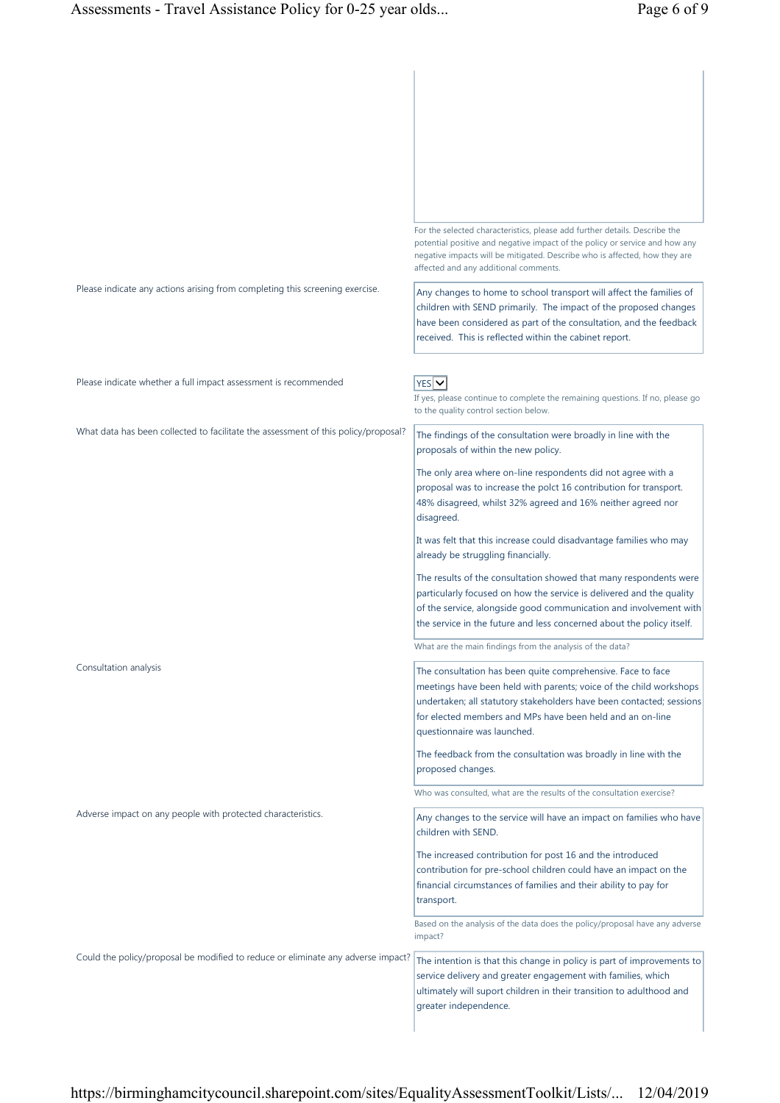|                                                                                    | For the selected characteristics, please add further details. Describe the<br>potential positive and negative impact of the policy or service and how any<br>negative impacts will be mitigated. Describe who is affected, how they are<br>affected and any additional comments.                      |
|------------------------------------------------------------------------------------|-------------------------------------------------------------------------------------------------------------------------------------------------------------------------------------------------------------------------------------------------------------------------------------------------------|
| Please indicate any actions arising from completing this screening exercise.       | Any changes to home to school transport will affect the families of<br>children with SEND primarily. The impact of the proposed changes<br>have been considered as part of the consultation, and the feedback<br>received. This is reflected within the cabinet report.                               |
| Please indicate whether a full impact assessment is recommended                    | $YES$ $\vee$<br>If yes, please continue to complete the remaining questions. If no, please go<br>to the quality control section below.                                                                                                                                                                |
| What data has been collected to facilitate the assessment of this policy/proposal? | The findings of the consultation were broadly in line with the<br>proposals of within the new policy.                                                                                                                                                                                                 |
|                                                                                    | The only area where on-line respondents did not agree with a<br>proposal was to increase the polct 16 contribution for transport.<br>48% disagreed, whilst 32% agreed and 16% neither agreed nor<br>disagreed.                                                                                        |
|                                                                                    | It was felt that this increase could disadvantage families who may<br>already be struggling financially.                                                                                                                                                                                              |
|                                                                                    | The results of the consultation showed that many respondents were<br>particularly focused on how the service is delivered and the quality<br>of the service, alongside good communication and involvement with<br>the service in the future and less concerned about the policy itself.               |
|                                                                                    | What are the main findings from the analysis of the data?                                                                                                                                                                                                                                             |
| Consultation analysis                                                              | The consultation has been quite comprehensive. Face to face<br>meetings have been held with parents; voice of the child workshops<br>undertaken; all statutory stakeholders have been contacted; sessions<br>for elected members and MPs have been held and an on-line<br>questionnaire was launched. |
|                                                                                    | The feedback from the consultation was broadly in line with the<br>proposed changes.                                                                                                                                                                                                                  |
|                                                                                    | Who was consulted, what are the results of the consultation exercise?                                                                                                                                                                                                                                 |
| Adverse impact on any people with protected characteristics.                       | Any changes to the service will have an impact on families who have<br>children with SEND.                                                                                                                                                                                                            |
|                                                                                    | The increased contribution for post 16 and the introduced<br>contribution for pre-school children could have an impact on the<br>financial circumstances of families and their ability to pay for<br>transport.                                                                                       |
|                                                                                    | Based on the analysis of the data does the policy/proposal have any adverse<br>impact?                                                                                                                                                                                                                |
| Could the policy/proposal be modified to reduce or eliminate any adverse impact?   | The intention is that this change in policy is part of improvements to<br>service delivery and greater engagement with families, which<br>ultimately will suport children in their transition to adulthood and<br>greater independence.                                                               |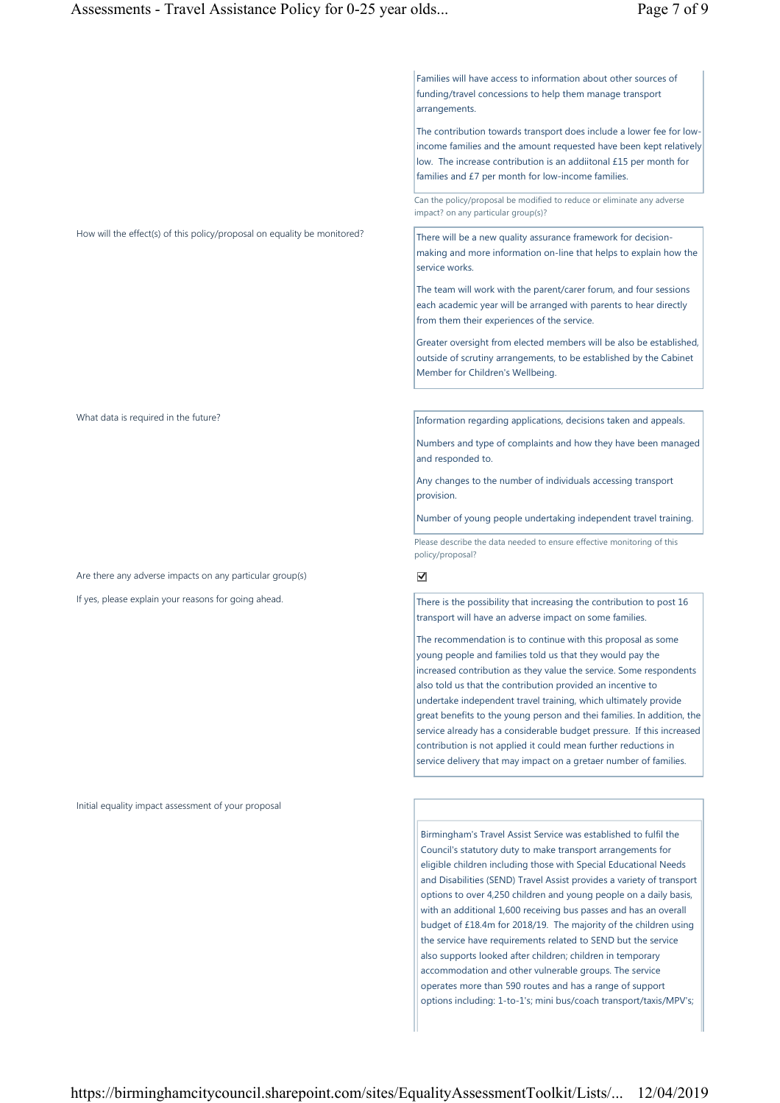Families will have access to information about other sources of funding/travel concessions to help them manage transport arrangements.

The contribution towards transport does include a lower fee for lowincome families and the amount requested have been kept relatively low. The increase contribution is an addiitonal £15 per month for families and £7 per month for low-income families.

Can the policy/proposal be modified to reduce or eliminate any adverse impact? on any particular group(s)?

How will the effect(s) of this policy/proposal on equality be monitored? There will be a new quality assurance framework for decisionmaking and more information on-line that helps to explain how the service works.

> The team will work with the parent/carer forum, and four sessions each academic year will be arranged with parents to hear directly from them their experiences of the service.

Greater oversight from elected members will be also be established, outside of scrutiny arrangements, to be established by the Cabinet Member for Children's Wellbeing.

What data is required in the future? Information regarding applications, decisions taken and appeals.

Numbers and type of complaints and how they have been managed and responded to.

Any changes to the number of individuals accessing transport provision.

Number of young people undertaking independent travel training.

Please describe the data needed to ensure effective monitoring of this policy/proposal?

If yes, please explain your reasons for going ahead. There is the possibility that increasing the contribution to post 16 transport will have an adverse impact on some families.

> The recommendation is to continue with this proposal as some young people and families told us that they would pay the increased contribution as they value the service. Some respondents also told us that the contribution provided an incentive to undertake independent travel training, which ultimately provide great benefits to the young person and thei families. In addition, the service already has a considerable budget pressure. If this increased contribution is not applied it could mean further reductions in service delivery that may impact on a gretaer number of families.

Birmingham's Travel Assist Service was established to fulfil the Council's statutory duty to make transport arrangements for eligible children including those with Special Educational Needs and Disabilities (SEND) Travel Assist provides a variety of transport options to over 4,250 children and young people on a daily basis, with an additional 1,600 receiving bus passes and has an overall budget of £18.4m for 2018/19. The majority of the children using the service have requirements related to SEND but the service also supports looked after children; children in temporary accommodation and other vulnerable groups. The service operates more than 590 routes and has a range of support options including: 1-to-1's; mini bus/coach transport/taxis/MPV's;

Are there any adverse impacts on any particular group(s)  $\Box$ 

Initial equality impact assessment of your proposal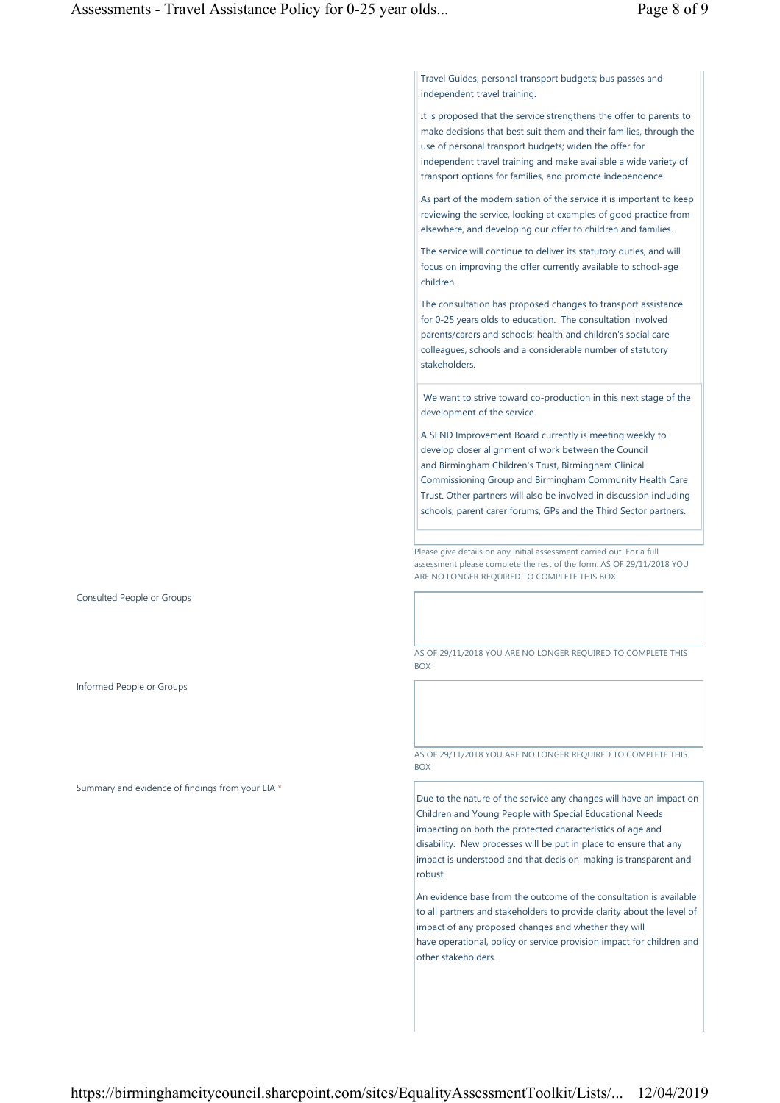Travel Guides; personal transport budgets; bus passes and independent travel training.

It is proposed that the service strengthens the offer to parents to make decisions that best suit them and their families, through the use of personal transport budgets; widen the offer for independent travel training and make available a wide variety of transport options for families, and promote independence.

As part of the modernisation of the service it is important to keep reviewing the service, looking at examples of good practice from elsewhere, and developing our offer to children and families.

The service will continue to deliver its statutory duties, and will focus on improving the offer currently available to school-age children.

The consultation has proposed changes to transport assistance for 0-25 years olds to education. The consultation involved parents/carers and schools; health and children's social care colleagues, schools and a considerable number of statutory stakeholders.

 We want to strive toward co-production in this next stage of the development of the service.

A SEND Improvement Board currently is meeting weekly to develop closer alignment of work between the Council and Birmingham Children's Trust, Birmingham Clinical Commissioning Group and Birmingham Community Health Care Trust. Other partners will also be involved in discussion including schools, parent carer forums, GPs and the Third Sector partners.

Please give details on any initial assessment carried out. For a full assessment please complete the rest of the form. AS OF 29/11/2018 YOU ARE NO LONGER REQUIRED TO COMPLETE THIS BOX.

AS OF 29/11/2018 YOU ARE NO LONGER REQUIRED TO COMPLETE THIS BOX

AS OF 29/11/2018 YOU ARE NO LONGER REQUIRED TO COMPLETE THIS **BOX** 

Due to the nature of the service any changes will have an impact on Children and Young People with Special Educational Needs impacting on both the protected characteristics of age and disability. New processes will be put in place to ensure that any impact is understood and that decision-making is transparent and robust.

An evidence base from the outcome of the consultation is available to all partners and stakeholders to provide clarity about the level of impact of any proposed changes and whether they will have operational, policy or service provision impact for children and other stakeholders.

Consulted People or Groups

Informed People or Groups

Summary and evidence of findings from your EIA \*